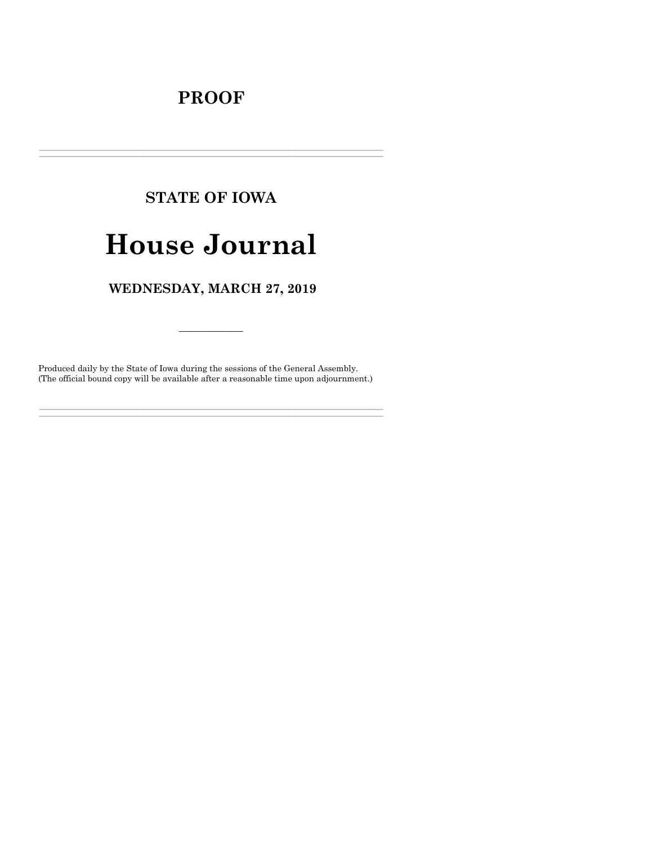# **PROOF**

# **STATE OF IOWA**

# **House Journal**

# WEDNESDAY, MARCH 27, 2019

Produced daily by the State of Iowa during the sessions of the General Assembly. (The official bound copy will be available after a reasonable time upon adjournment.)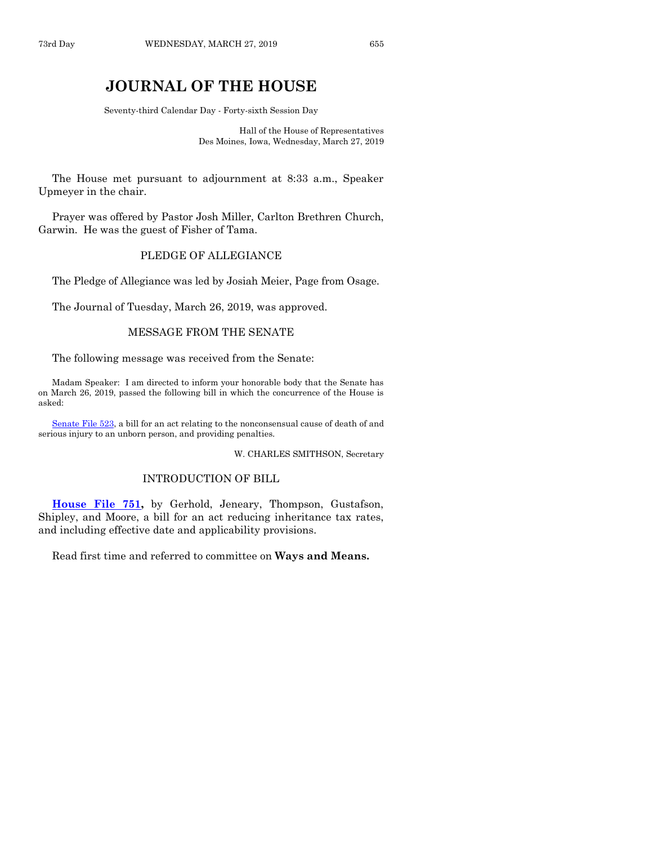# **JOURNAL OF THE HOUSE**

Seventy-third Calendar Day - Forty-sixth Session Day

Hall of the House of Representatives Des Moines, Iowa, Wednesday, March 27, 2019

The House met pursuant to adjournment at 8:33 a.m., Speaker Upmeyer in the chair.

Prayer was offered by Pastor Josh Miller, Carlton Brethren Church, Garwin. He was the guest of Fisher of Tama.

# PLEDGE OF ALLEGIANCE

The Pledge of Allegiance was led by Josiah Meier, Page from Osage.

The Journal of Tuesday, March 26, 2019, was approved.

#### MESSAGE FROM THE SENATE

The following message was received from the Senate:

Madam Speaker: I am directed to inform your honorable body that the Senate has on March 26, 2019, passed the following bill in which the concurrence of the House is asked:

[Senate File 523,](https://www.legis.iowa.gov/legislation/BillBook?ga=88&ba=SF523) a bill for an act relating to the nonconsensual cause of death of and serious injury to an unborn person, and providing penalties.

W. CHARLES SMITHSON, Secretary

# INTRODUCTION OF BILL

**[House File 751,](https://www.legis.iowa.gov/legislation/BillBook?ga=88&ba=HF751)** by Gerhold, Jeneary, Thompson, Gustafson, Shipley, and Moore, a bill for an act reducing inheritance tax rates, and including effective date and applicability provisions.

Read first time and referred to committee on **Ways and Means.**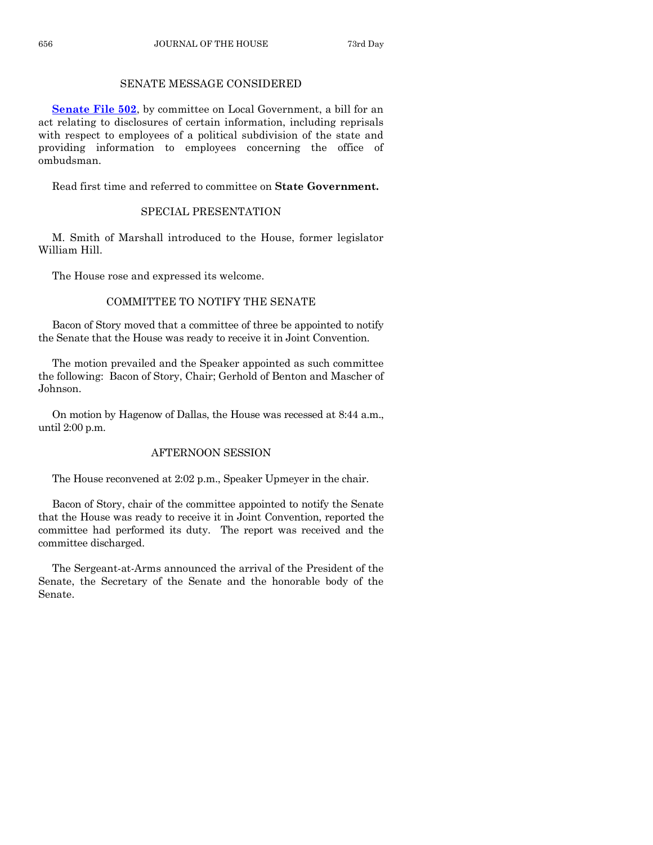# SENATE MESSAGE CONSIDERED

**[Senate File 502](https://www.legis.iowa.gov/legislation/BillBook?ga=88&ba=SF502)**, by committee on Local Government, a bill for an act relating to disclosures of certain information, including reprisals with respect to employees of a political subdivision of the state and providing information to employees concerning the office of ombudsman.

Read first time and referred to committee on **State Government.**

# SPECIAL PRESENTATION

M. Smith of Marshall introduced to the House, former legislator William Hill.

The House rose and expressed its welcome.

# COMMITTEE TO NOTIFY THE SENATE

Bacon of Story moved that a committee of three be appointed to notify the Senate that the House was ready to receive it in Joint Convention.

The motion prevailed and the Speaker appointed as such committee the following: Bacon of Story, Chair; Gerhold of Benton and Mascher of Johnson.

On motion by Hagenow of Dallas, the House was recessed at 8:44 a.m., until 2:00 p.m.

# AFTERNOON SESSION

The House reconvened at 2:02 p.m., Speaker Upmeyer in the chair.

Bacon of Story, chair of the committee appointed to notify the Senate that the House was ready to receive it in Joint Convention, reported the committee had performed its duty. The report was received and the committee discharged.

The Sergeant-at-Arms announced the arrival of the President of the Senate, the Secretary of the Senate and the honorable body of the Senate.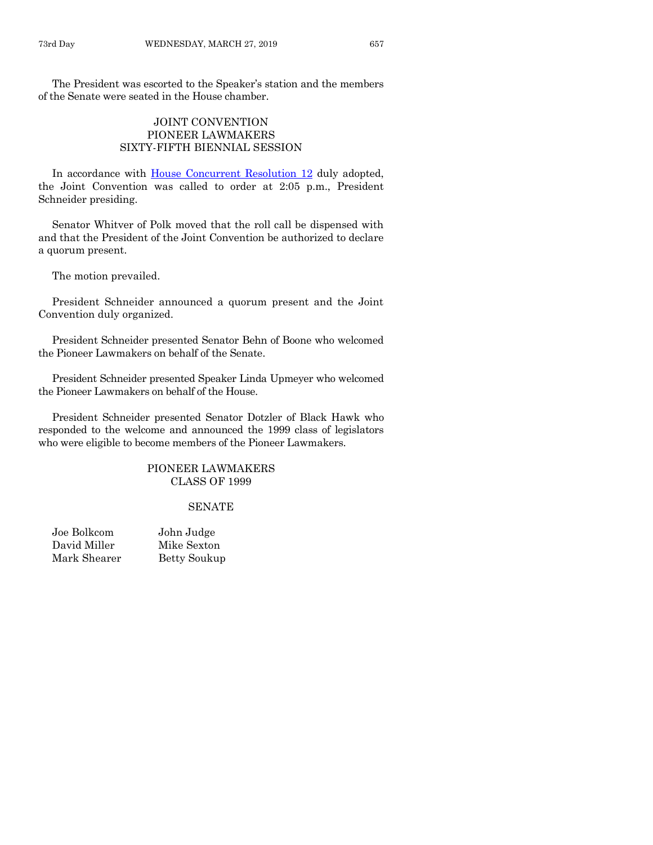The President was escorted to the Speaker's station and the members of the Senate were seated in the House chamber.

# JOINT CONVENTION PIONEER LAWMAKERS SIXTY-FIFTH BIENNIAL SESSION

In accordance with [House Concurrent Resolution 12](https://www.legis.iowa.gov/legislation/BillBook?ga=88&ba=HCR12) duly adopted, the Joint Convention was called to order at 2:05 p.m., President Schneider presiding.

Senator Whitver of Polk moved that the roll call be dispensed with and that the President of the Joint Convention be authorized to declare a quorum present.

The motion prevailed.

President Schneider announced a quorum present and the Joint Convention duly organized.

President Schneider presented Senator Behn of Boone who welcomed the Pioneer Lawmakers on behalf of the Senate.

President Schneider presented Speaker Linda Upmeyer who welcomed the Pioneer Lawmakers on behalf of the House.

President Schneider presented Senator Dotzler of Black Hawk who responded to the welcome and announced the 1999 class of legislators who were eligible to become members of the Pioneer Lawmakers.

# PIONEER LAWMAKERS CLASS OF 1999

#### **SENATE**

| Joe Bolkcom  | John Judge   |
|--------------|--------------|
| David Miller | Mike Sexton  |
| Mark Shearer | Betty Soukup |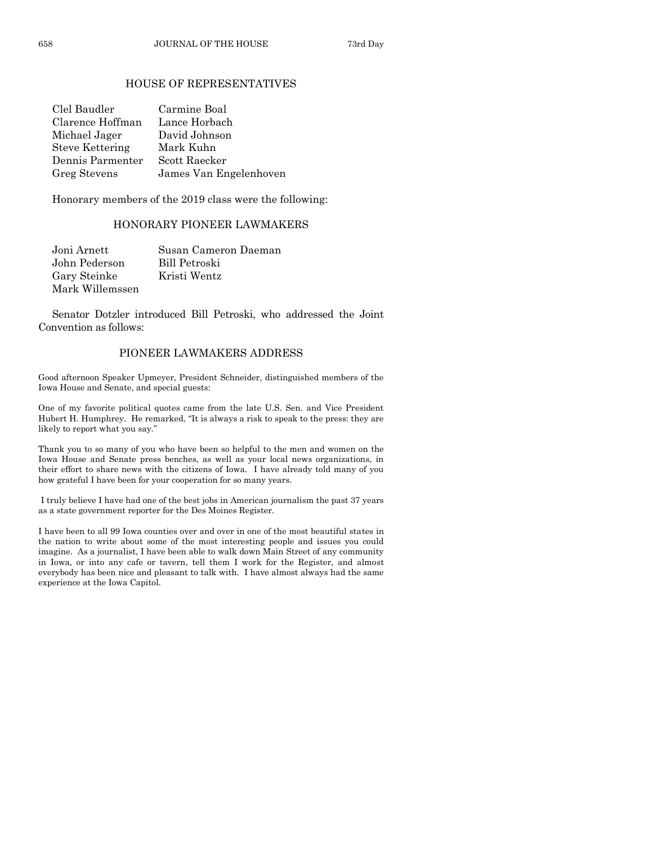# HOUSE OF REPRESENTATIVES

| Clel Baudler           | Carmine Boal           |
|------------------------|------------------------|
| Clarence Hoffman       | Lance Horbach          |
| Michael Jager          | David Johnson          |
| <b>Steve Kettering</b> | Mark Kuhn              |
| Dennis Parmenter       | Scott Raecker          |
| Greg Stevens           | James Van Engelenhoven |

Honorary members of the 2019 class were the following:

# HONORARY PIONEER LAWMAKERS

| Joni Arnett     | Susan Cameron Daeman |
|-----------------|----------------------|
| John Pederson   | Bill Petroski        |
| Gary Steinke    | Kristi Wentz         |
| Mark Willemssen |                      |

Senator Dotzler introduced Bill Petroski, who addressed the Joint Convention as follows:

# PIONEER LAWMAKERS ADDRESS

Good afternoon Speaker Upmeyer, President Schneider, distinguished members of the Iowa House and Senate, and special guests:

One of my favorite political quotes came from the late U.S. Sen. and Vice President Hubert H. Humphrey. He remarked, "It is always a risk to speak to the press: they are likely to report what you say."

Thank you to so many of you who have been so helpful to the men and women on the Iowa House and Senate press benches, as well as your local news organizations, in their effort to share news with the citizens of Iowa. I have already told many of you how grateful I have been for your cooperation for so many years.

I truly believe I have had one of the best jobs in American journalism the past 37 years as a state government reporter for the Des Moines Register.

I have been to all 99 Iowa counties over and over in one of the most beautiful states in the nation to write about some of the most interesting people and issues you could imagine. As a journalist, I have been able to walk down Main Street of any community in Iowa, or into any cafe or tavern, tell them I work for the Register, and almost everybody has been nice and pleasant to talk with. I have almost always had the same experience at the Iowa Capitol.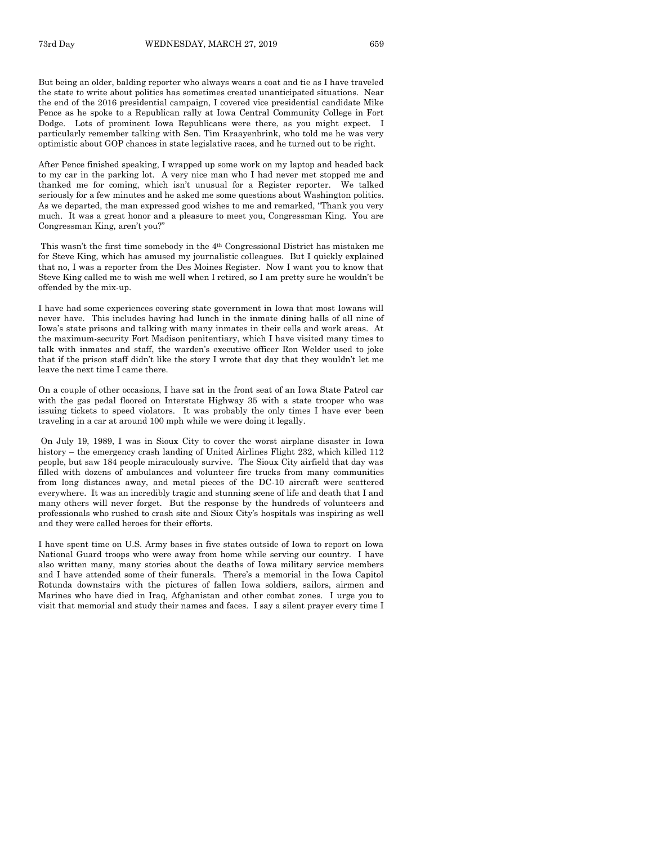But being an older, balding reporter who always wears a coat and tie as I have traveled the state to write about politics has sometimes created unanticipated situations. Near the end of the 2016 presidential campaign, I covered vice presidential candidate Mike Pence as he spoke to a Republican rally at Iowa Central Community College in Fort Dodge. Lots of prominent Iowa Republicans were there, as you might expect. I particularly remember talking with Sen. Tim Kraayenbrink, who told me he was very optimistic about GOP chances in state legislative races, and he turned out to be right.

After Pence finished speaking, I wrapped up some work on my laptop and headed back to my car in the parking lot. A very nice man who I had never met stopped me and thanked me for coming, which isn't unusual for a Register reporter. We talked seriously for a few minutes and he asked me some questions about Washington politics. As we departed, the man expressed good wishes to me and remarked, "Thank you very much. It was a great honor and a pleasure to meet you, Congressman King. You are Congressman King, aren't you?"

This wasn't the first time somebody in the 4th Congressional District has mistaken me for Steve King, which has amused my journalistic colleagues. But I quickly explained that no, I was a reporter from the Des Moines Register. Now I want you to know that Steve King called me to wish me well when I retired, so I am pretty sure he wouldn't be offended by the mix-up.

I have had some experiences covering state government in Iowa that most Iowans will never have. This includes having had lunch in the inmate dining halls of all nine of Iowa's state prisons and talking with many inmates in their cells and work areas. At the maximum-security Fort Madison penitentiary, which I have visited many times to talk with inmates and staff, the warden's executive officer Ron Welder used to joke that if the prison staff didn't like the story I wrote that day that they wouldn't let me leave the next time I came there.

On a couple of other occasions, I have sat in the front seat of an Iowa State Patrol car with the gas pedal floored on Interstate Highway 35 with a state trooper who was issuing tickets to speed violators. It was probably the only times I have ever been traveling in a car at around 100 mph while we were doing it legally.

On July 19, 1989, I was in Sioux City to cover the worst airplane disaster in Iowa history – the emergency crash landing of United Airlines Flight 232, which killed 112 people, but saw 184 people miraculously survive. The Sioux City airfield that day was filled with dozens of ambulances and volunteer fire trucks from many communities from long distances away, and metal pieces of the DC-10 aircraft were scattered everywhere. It was an incredibly tragic and stunning scene of life and death that I and many others will never forget. But the response by the hundreds of volunteers and professionals who rushed to crash site and Sioux City's hospitals was inspiring as well and they were called heroes for their efforts.

I have spent time on U.S. Army bases in five states outside of Iowa to report on Iowa National Guard troops who were away from home while serving our country. I have also written many, many stories about the deaths of Iowa military service members and I have attended some of their funerals. There's a memorial in the Iowa Capitol Rotunda downstairs with the pictures of fallen Iowa soldiers, sailors, airmen and Marines who have died in Iraq, Afghanistan and other combat zones. I urge you to visit that memorial and study their names and faces. I say a silent prayer every time I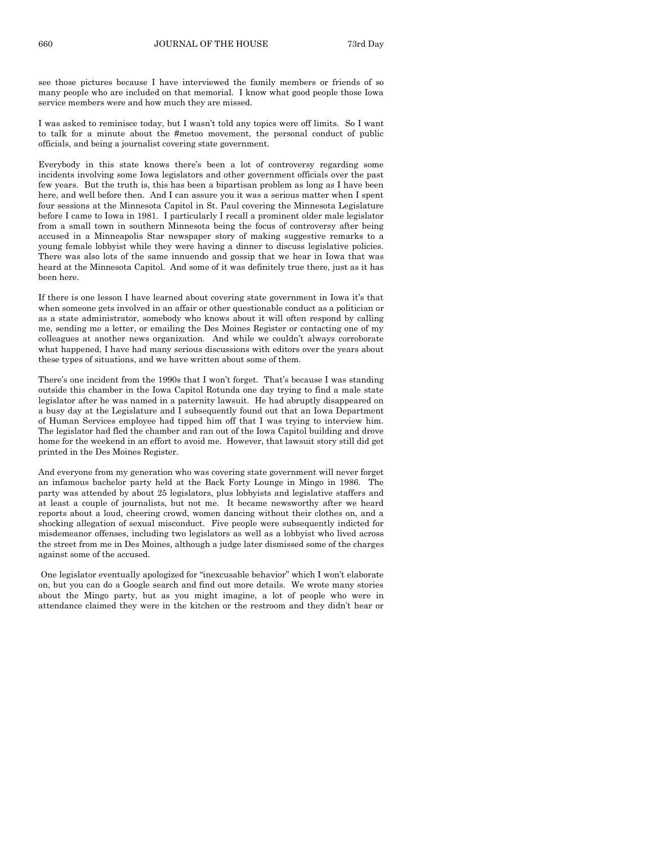see those pictures because I have interviewed the family members or friends of so many people who are included on that memorial. I know what good people those Iowa service members were and how much they are missed.

I was asked to reminisce today, but I wasn't told any topics were off limits. So I want to talk for a minute about the #metoo movement, the personal conduct of public officials, and being a journalist covering state government.

Everybody in this state knows there's been a lot of controversy regarding some incidents involving some Iowa legislators and other government officials over the past few years. But the truth is, this has been a bipartisan problem as long as I have been here, and well before then. And I can assure you it was a serious matter when I spent four sessions at the Minnesota Capitol in St. Paul covering the Minnesota Legislature before I came to Iowa in 1981. I particularly I recall a prominent older male legislator from a small town in southern Minnesota being the focus of controversy after being accused in a Minneapolis Star newspaper story of making suggestive remarks to a young female lobbyist while they were having a dinner to discuss legislative policies. There was also lots of the same innuendo and gossip that we hear in Iowa that was heard at the Minnesota Capitol. And some of it was definitely true there, just as it has been here.

If there is one lesson I have learned about covering state government in Iowa it's that when someone gets involved in an affair or other questionable conduct as a politician or as a state administrator, somebody who knows about it will often respond by calling me, sending me a letter, or emailing the Des Moines Register or contacting one of my colleagues at another news organization. And while we couldn't always corroborate what happened, I have had many serious discussions with editors over the years about these types of situations, and we have written about some of them.

There's one incident from the 1990s that I won't forget. That's because I was standing outside this chamber in the Iowa Capitol Rotunda one day trying to find a male state legislator after he was named in a paternity lawsuit. He had abruptly disappeared on a busy day at the Legislature and I subsequently found out that an Iowa Department of Human Services employee had tipped him off that I was trying to interview him. The legislator had fled the chamber and ran out of the Iowa Capitol building and drove home for the weekend in an effort to avoid me. However, that lawsuit story still did get printed in the Des Moines Register.

And everyone from my generation who was covering state government will never forget an infamous bachelor party held at the Back Forty Lounge in Mingo in 1986. The party was attended by about 25 legislators, plus lobbyists and legislative staffers and at least a couple of journalists, but not me. It became newsworthy after we heard reports about a loud, cheering crowd, women dancing without their clothes on, and a shocking allegation of sexual misconduct. Five people were subsequently indicted for misdemeanor offenses, including two legislators as well as a lobbyist who lived across the street from me in Des Moines, although a judge later dismissed some of the charges against some of the accused.

One legislator eventually apologized for "inexcusable behavior" which I won't elaborate on, but you can do a Google search and find out more details. We wrote many stories about the Mingo party, but as you might imagine, a lot of people who were in attendance claimed they were in the kitchen or the restroom and they didn't hear or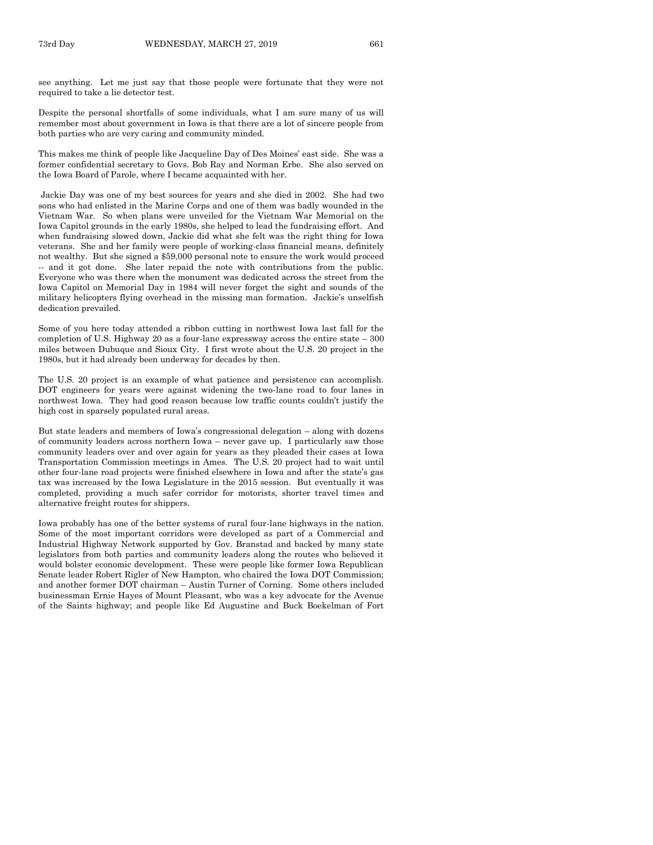see anything. Let me just say that those people were fortunate that they were not required to take a lie detector test.

Despite the personal shortfalls of some individuals, what I am sure many of us will remember most about government in Iowa is that there are a lot of sincere people from both parties who are very caring and community minded.

This makes me think of people like Jacqueline Day of Des Moines' east side. She was a former confidential secretary to Govs. Bob Ray and Norman Erbe. She also served on the Iowa Board of Parole, where I became acquainted with her.

Jackie Day was one of my best sources for years and she died in 2002. She had two sons who had enlisted in the Marine Corps and one of them was badly wounded in the Vietnam War. So when plans were unveiled for the Vietnam War Memorial on the Iowa Capitol grounds in the early 1980s, she helped to lead the fundraising effort. And when fundraising slowed down, Jackie did what she felt was the right thing for Iowa veterans. She and her family were people of working-class financial means, definitely not wealthy. But she signed a \$59,000 personal note to ensure the work would proceed -- and it got done. She later repaid the note with contributions from the public. Everyone who was there when the monument was dedicated across the street from the Iowa Capitol on Memorial Day in 1984 will never forget the sight and sounds of the military helicopters flying overhead in the missing man formation. Jackie's unselfish dedication prevailed.

Some of you here today attended a ribbon cutting in northwest Iowa last fall for the completion of U.S. Highway 20 as a four-lane expressway across the entire state – 300 miles between Dubuque and Sioux City. I first wrote about the U.S. 20 project in the 1980s, but it had already been underway for decades by then.

The U.S. 20 project is an example of what patience and persistence can accomplish. DOT engineers for years were against widening the two-lane road to four lanes in northwest Iowa. They had good reason because low traffic counts couldn't justify the high cost in sparsely populated rural areas.

But state leaders and members of Iowa's congressional delegation – along with dozens of community leaders across northern Iowa – never gave up. I particularly saw those community leaders over and over again for years as they pleaded their cases at Iowa Transportation Commission meetings in Ames. The U.S. 20 project had to wait until other four-lane road projects were finished elsewhere in Iowa and after the state's gas tax was increased by the Iowa Legislature in the 2015 session. But eventually it was completed, providing a much safer corridor for motorists, shorter travel times and alternative freight routes for shippers.

Iowa probably has one of the better systems of rural four-lane highways in the nation. Some of the most important corridors were developed as part of a Commercial and Industrial Highway Network supported by Gov. Branstad and backed by many state legislators from both parties and community leaders along the routes who believed it would bolster economic development. These were people like former Iowa Republican Senate leader Robert Rigler of New Hampton, who chaired the Iowa DOT Commission; and another former DOT chairman – Austin Turner of Corning. Some others included businessman Ernie Hayes of Mount Pleasant, who was a key advocate for the Avenue of the Saints highway; and people like Ed Augustine and Buck Boekelman of Fort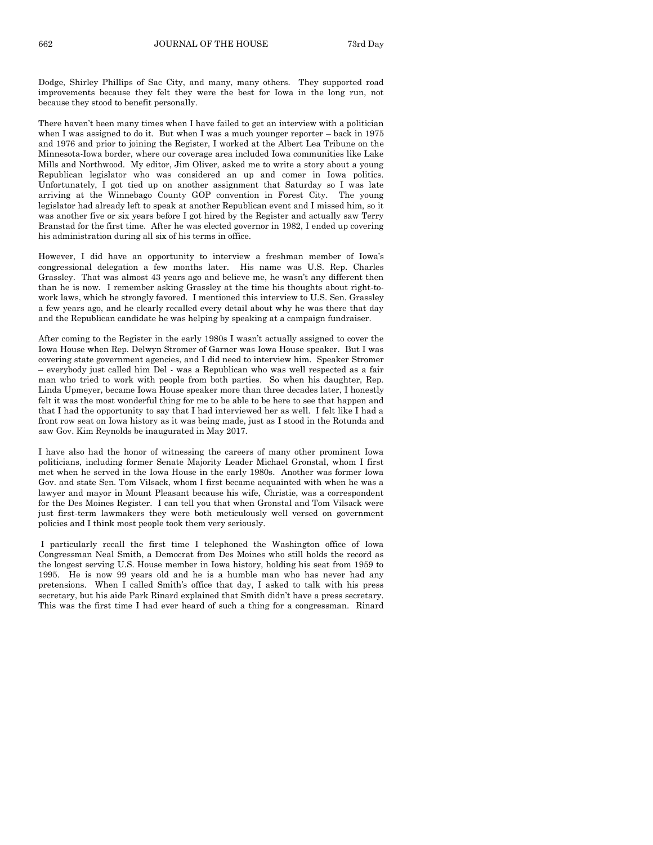Dodge, Shirley Phillips of Sac City, and many, many others. They supported road improvements because they felt they were the best for Iowa in the long run, not because they stood to benefit personally.

There haven't been many times when I have failed to get an interview with a politician when I was assigned to do it. But when I was a much younger reporter – back in 1975 and 1976 and prior to joining the Register, I worked at the Albert Lea Tribune on the Minnesota-Iowa border, where our coverage area included Iowa communities like Lake Mills and Northwood. My editor, Jim Oliver, asked me to write a story about a young Republican legislator who was considered an up and comer in Iowa politics. Unfortunately, I got tied up on another assignment that Saturday so I was late arriving at the Winnebago County GOP convention in Forest City. The young legislator had already left to speak at another Republican event and I missed him, so it was another five or six years before I got hired by the Register and actually saw Terry Branstad for the first time. After he was elected governor in 1982, I ended up covering his administration during all six of his terms in office.

However, I did have an opportunity to interview a freshman member of Iowa's congressional delegation a few months later. His name was U.S. Rep. Charles Grassley. That was almost 43 years ago and believe me, he wasn't any different then than he is now. I remember asking Grassley at the time his thoughts about right-towork laws, which he strongly favored. I mentioned this interview to U.S. Sen. Grassley a few years ago, and he clearly recalled every detail about why he was there that day and the Republican candidate he was helping by speaking at a campaign fundraiser.

After coming to the Register in the early 1980s I wasn't actually assigned to cover the Iowa House when Rep. Delwyn Stromer of Garner was Iowa House speaker. But I was covering state government agencies, and I did need to interview him. Speaker Stromer – everybody just called him Del - was a Republican who was well respected as a fair man who tried to work with people from both parties. So when his daughter, Rep. Linda Upmeyer, became Iowa House speaker more than three decades later, I honestly felt it was the most wonderful thing for me to be able to be here to see that happen and that I had the opportunity to say that I had interviewed her as well. I felt like I had a front row seat on Iowa history as it was being made, just as I stood in the Rotunda and saw Gov. Kim Reynolds be inaugurated in May 2017.

I have also had the honor of witnessing the careers of many other prominent Iowa politicians, including former Senate Majority Leader Michael Gronstal, whom I first met when he served in the Iowa House in the early 1980s. Another was former Iowa Gov. and state Sen. Tom Vilsack, whom I first became acquainted with when he was a lawyer and mayor in Mount Pleasant because his wife, Christie, was a correspondent for the Des Moines Register. I can tell you that when Gronstal and Tom Vilsack were just first-term lawmakers they were both meticulously well versed on government policies and I think most people took them very seriously.

I particularly recall the first time I telephoned the Washington office of Iowa Congressman Neal Smith, a Democrat from Des Moines who still holds the record as the longest serving U.S. House member in Iowa history, holding his seat from 1959 to 1995. He is now 99 years old and he is a humble man who has never had any pretensions. When I called Smith's office that day, I asked to talk with his press secretary, but his aide Park Rinard explained that Smith didn't have a press secretary. This was the first time I had ever heard of such a thing for a congressman. Rinard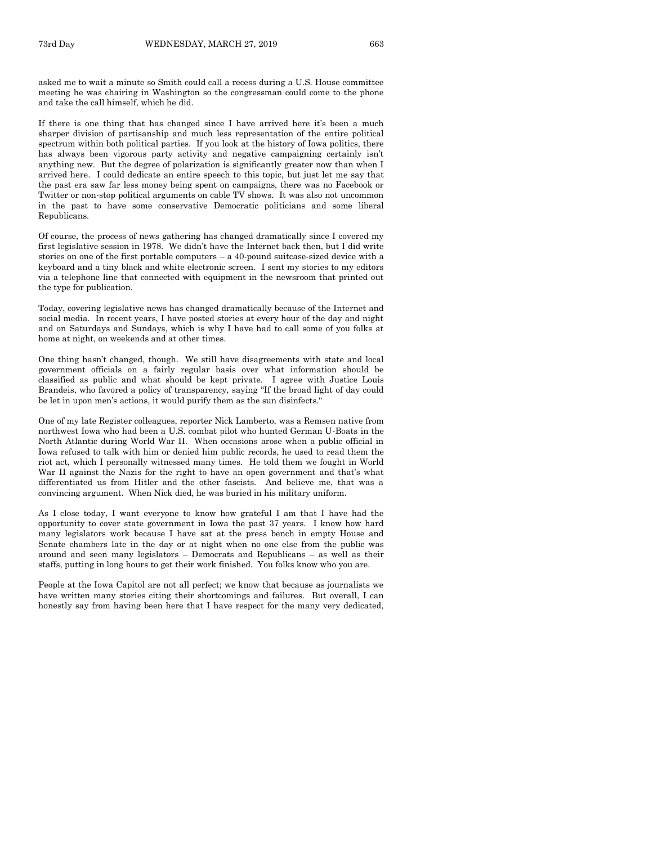asked me to wait a minute so Smith could call a recess during a U.S. House committee meeting he was chairing in Washington so the congressman could come to the phone and take the call himself, which he did.

If there is one thing that has changed since I have arrived here it's been a much sharper division of partisanship and much less representation of the entire political spectrum within both political parties. If you look at the history of Iowa politics, there has always been vigorous party activity and negative campaigning certainly isn't anything new. But the degree of polarization is significantly greater now than when I arrived here. I could dedicate an entire speech to this topic, but just let me say that the past era saw far less money being spent on campaigns, there was no Facebook or Twitter or non-stop political arguments on cable TV shows. It was also not uncommon in the past to have some conservative Democratic politicians and some liberal Republicans.

Of course, the process of news gathering has changed dramatically since I covered my first legislative session in 1978. We didn't have the Internet back then, but I did write stories on one of the first portable computers – a 40-pound suitcase-sized device with a keyboard and a tiny black and white electronic screen. I sent my stories to my editors via a telephone line that connected with equipment in the newsroom that printed out the type for publication.

Today, covering legislative news has changed dramatically because of the Internet and social media. In recent years, I have posted stories at every hour of the day and night and on Saturdays and Sundays, which is why I have had to call some of you folks at home at night, on weekends and at other times.

One thing hasn't changed, though. We still have disagreements with state and local government officials on a fairly regular basis over what information should be classified as public and what should be kept private. I agree with Justice Louis Brandeis, who favored a policy of transparency, saying "If the broad light of day could be let in upon men's actions, it would purify them as the sun disinfects."

One of my late Register colleagues, reporter Nick Lamberto, was a Remsen native from northwest Iowa who had been a U.S. combat pilot who hunted German U-Boats in the North Atlantic during World War II. When occasions arose when a public official in Iowa refused to talk with him or denied him public records, he used to read them the riot act, which I personally witnessed many times. He told them we fought in World War II against the Nazis for the right to have an open government and that's what differentiated us from Hitler and the other fascists. And believe me, that was a convincing argument. When Nick died, he was buried in his military uniform.

As I close today, I want everyone to know how grateful I am that I have had the opportunity to cover state government in Iowa the past 37 years. I know how hard many legislators work because I have sat at the press bench in empty House and Senate chambers late in the day or at night when no one else from the public was around and seen many legislators – Democrats and Republicans – as well as their staffs, putting in long hours to get their work finished. You folks know who you are.

People at the Iowa Capitol are not all perfect; we know that because as journalists we have written many stories citing their shortcomings and failures. But overall, I can honestly say from having been here that I have respect for the many very dedicated,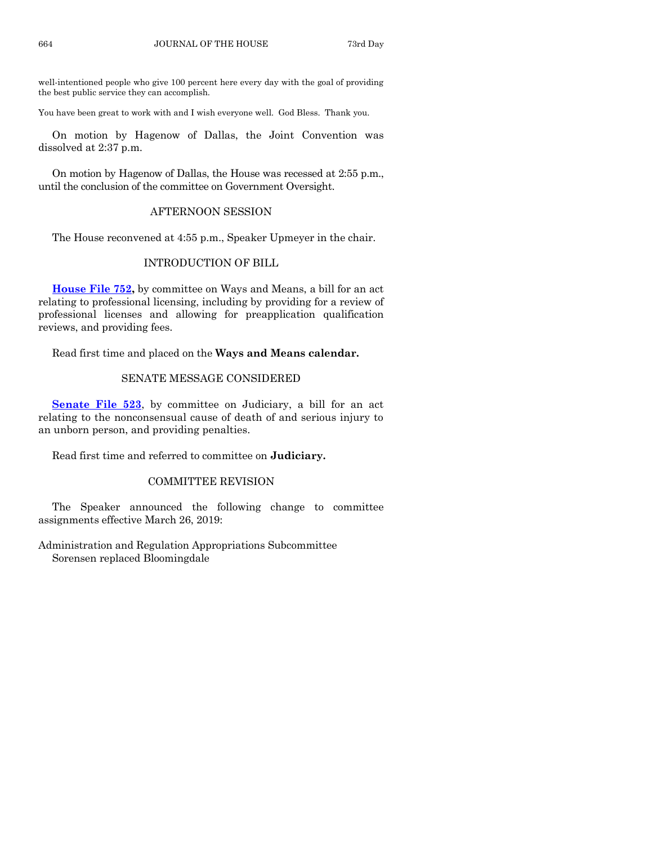well-intentioned people who give 100 percent here every day with the goal of providing the best public service they can accomplish.

You have been great to work with and I wish everyone well. God Bless. Thank you.

On motion by Hagenow of Dallas, the Joint Convention was dissolved at 2:37 p.m.

On motion by Hagenow of Dallas, the House was recessed at 2:55 p.m., until the conclusion of the committee on Government Oversight.

# AFTERNOON SESSION

The House reconvened at 4:55 p.m., Speaker Upmeyer in the chair.

# INTRODUCTION OF BILL

**[House File 752,](https://www.legis.iowa.gov/legislation/BillBook?ga=88&ba=HF752)** by committee on Ways and Means, a bill for an act relating to professional licensing, including by providing for a review of professional licenses and allowing for preapplication qualification reviews, and providing fees.

Read first time and placed on the **Ways and Means calendar.**

# SENATE MESSAGE CONSIDERED

**[Senate File 523](https://www.legis.iowa.gov/legislation/BillBook?ga=88&ba=SF523)**, by committee on Judiciary, a bill for an act relating to the nonconsensual cause of death of and serious injury to an unborn person, and providing penalties.

Read first time and referred to committee on **Judiciary.**

# COMMITTEE REVISION

The Speaker announced the following change to committee assignments effective March 26, 2019:

Administration and Regulation Appropriations Subcommittee Sorensen replaced Bloomingdale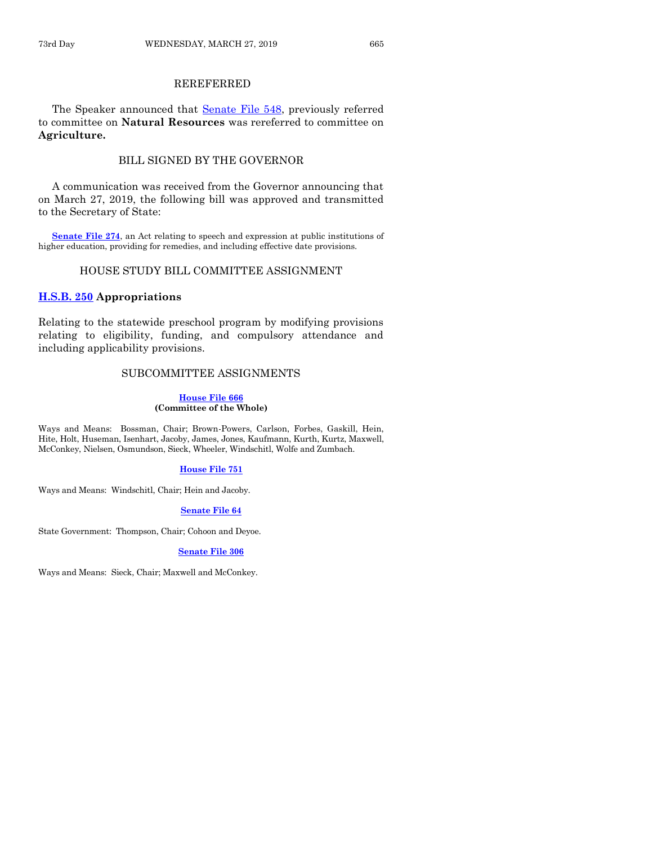# REREFERRED

The Speaker announced that [Senate File 548,](https://www.legis.iowa.gov/legislation/BillBook?ga=88&ba=SF548) previously referred to committee on **Natural Resources** was rereferred to committee on **Agriculture.**

# BILL SIGNED BY THE GOVERNOR

A communication was received from the Governor announcing that on March 27, 2019, the following bill was approved and transmitted to the Secretary of State:

**[Senate File 274](https://www.legis.iowa.gov/legislation/BillBook?ga=88&ba=SF274)**, an Act relating to speech and expression at public institutions of higher education, providing for remedies, and including effective date provisions.

# HOUSE STUDY BILL COMMITTEE ASSIGNMENT

# **[H.S.B. 250](https://www.legis.iowa.gov/legislation/BillBook?ga=88&ba=HSB250) Appropriations**

Relating to the statewide preschool program by modifying provisions relating to eligibility, funding, and compulsory attendance and including applicability provisions.

# SUBCOMMITTEE ASSIGNMENTS

#### **[House File 666](https://www.legis.iowa.gov/legislation/BillBook?ga=88&ba=HF666) (Committee of the Whole)**

Ways and Means: Bossman, Chair; Brown-Powers, Carlson, Forbes, Gaskill, Hein, Hite, Holt, Huseman, Isenhart, Jacoby, James, Jones, Kaufmann, Kurth, Kurtz, Maxwell, McConkey, Nielsen, Osmundson, Sieck, Wheeler, Windschitl, Wolfe and Zumbach.

#### **[House File 751](https://www.legis.iowa.gov/legislation/BillBook?ga=88&ba=HF751)**

Ways and Means: Windschitl, Chair; Hein and Jacoby.

#### **[Senate File 64](https://www.legis.iowa.gov/legislation/BillBook?ga=88&ba=SF64)**

State Government: Thompson, Chair; Cohoon and Deyoe.

#### **[Senate File 306](https://www.legis.iowa.gov/legislation/BillBook?ga=88&ba=SF306)**

Ways and Means: Sieck, Chair; Maxwell and McConkey.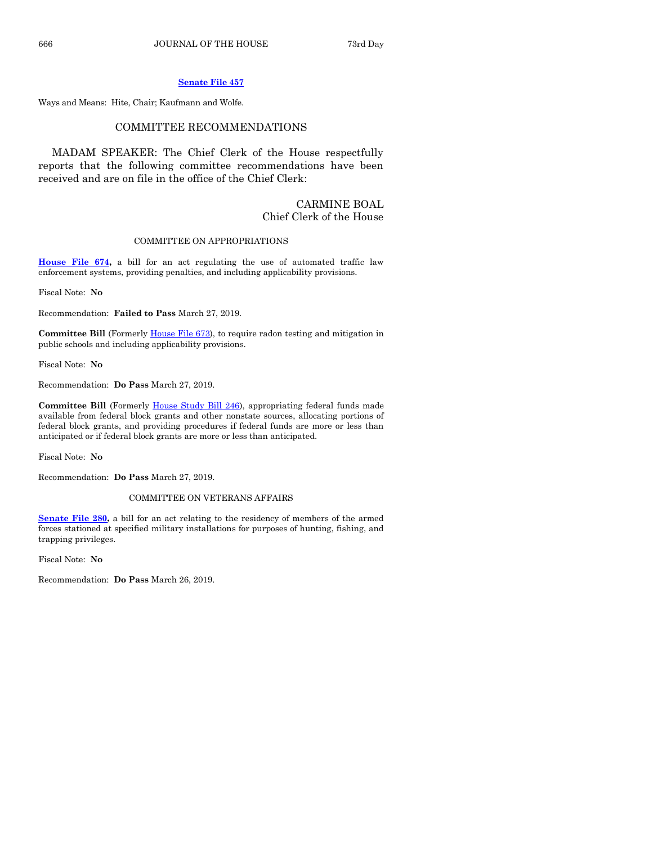# **[Senate File 457](https://www.legis.iowa.gov/legislation/BillBook?ga=88&ba=SF457)**

Ways and Means: Hite, Chair; Kaufmann and Wolfe.

#### COMMITTEE RECOMMENDATIONS

MADAM SPEAKER: The Chief Clerk of the House respectfully reports that the following committee recommendations have been received and are on file in the office of the Chief Clerk:

# CARMINE BOAL Chief Clerk of the House

# COMMITTEE ON APPROPRIATIONS

**[House File 674,](https://www.legis.iowa.gov/legislation/BillBook?ga=88&ba=HF674)** a bill for an act regulating the use of automated traffic law enforcement systems, providing penalties, and including applicability provisions.

Fiscal Note: **No**

Recommendation: **Failed to Pass** March 27, 2019.

**Committee Bill** (Formerly [House File 673\)](https://www.legis.iowa.gov/legislation/BillBook?ga=88&ba=HF673), to require radon testing and mitigation in public schools and including applicability provisions.

Fiscal Note: **No**

Recommendation: **Do Pass** March 27, 2019.

**Committee Bill** (Formerly [House Study Bill 246\)](https://www.legis.iowa.gov/legislation/BillBook?ga=88&ba=HSB246), appropriating federal funds made available from federal block grants and other nonstate sources, allocating portions of federal block grants, and providing procedures if federal funds are more or less than anticipated or if federal block grants are more or less than anticipated.

Fiscal Note: **No**

Recommendation: **Do Pass** March 27, 2019.

COMMITTEE ON VETERANS AFFAIRS

**[Senate File 280,](https://www.legis.iowa.gov/legislation/BillBook?ga=88&ba=SF280)** a bill for an act relating to the residency of members of the armed forces stationed at specified military installations for purposes of hunting, fishing, and trapping privileges.

Fiscal Note: **No**

Recommendation: **Do Pass** March 26, 2019.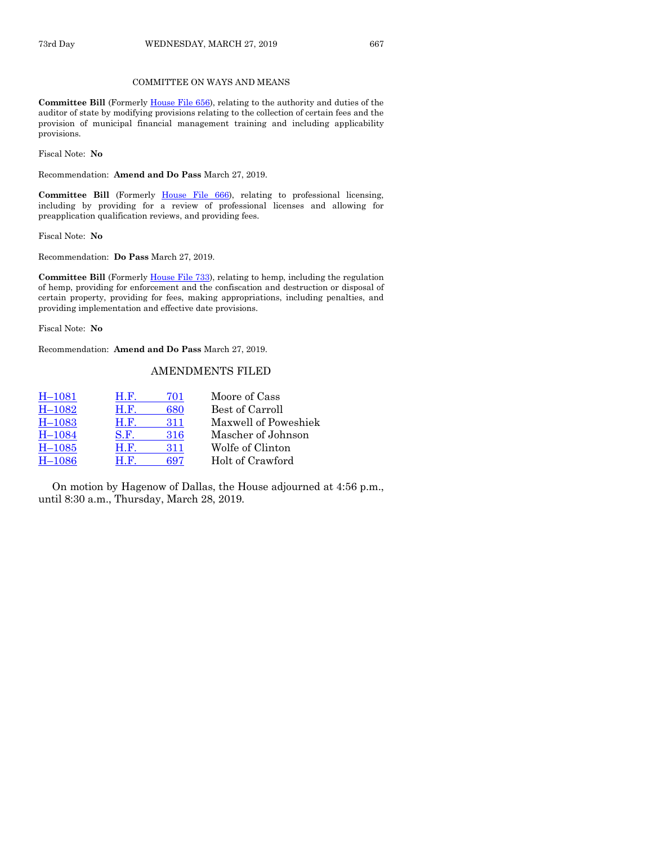## COMMITTEE ON WAYS AND MEANS

**Committee Bill** (Formerly [House File 656\)](https://www.legis.iowa.gov/legislation/BillBook?ga=88&ba=HF656), relating to the authority and duties of the auditor of state by modifying provisions relating to the collection of certain fees and the provision of municipal financial management training and including applicability provisions.

Fiscal Note: **No**

Recommendation: **Amend and Do Pass** March 27, 2019.

**Committee Bill** (Formerly [House File 666\)](https://www.legis.iowa.gov/legislation/BillBook?ga=88&ba=HF666), relating to professional licensing, including by providing for a review of professional licenses and allowing for preapplication qualification reviews, and providing fees.

Fiscal Note: **No**

Recommendation: **Do Pass** March 27, 2019.

**Committee Bill** (Formerl[y House File 733\)](https://www.legis.iowa.gov/legislation/BillBook?ga=88&ba=HF733), relating to hemp, including the regulation of hemp, providing for enforcement and the confiscation and destruction or disposal of certain property, providing for fees, making appropriations, including penalties, and providing implementation and effective date provisions.

Fiscal Note: **No**

Recommendation: **Amend and Do Pass** March 27, 2019.

# AMENDMENTS FILED

| <b>H.F.</b> | 701 | Moore of Cass        |
|-------------|-----|----------------------|
| H.F.        | 680 | Best of Carroll      |
| H.F.        | 311 | Maxwell of Poweshiek |
| S.F.        | 316 | Mascher of Johnson   |
| H.F.        | 311 | Wolfe of Clinton     |
| H.F.        | 697 | Holt of Crawford     |
|             |     |                      |

On motion by Hagenow of Dallas, the House adjourned at 4:56 p.m., until 8:30 a.m., Thursday, March 28, 2019.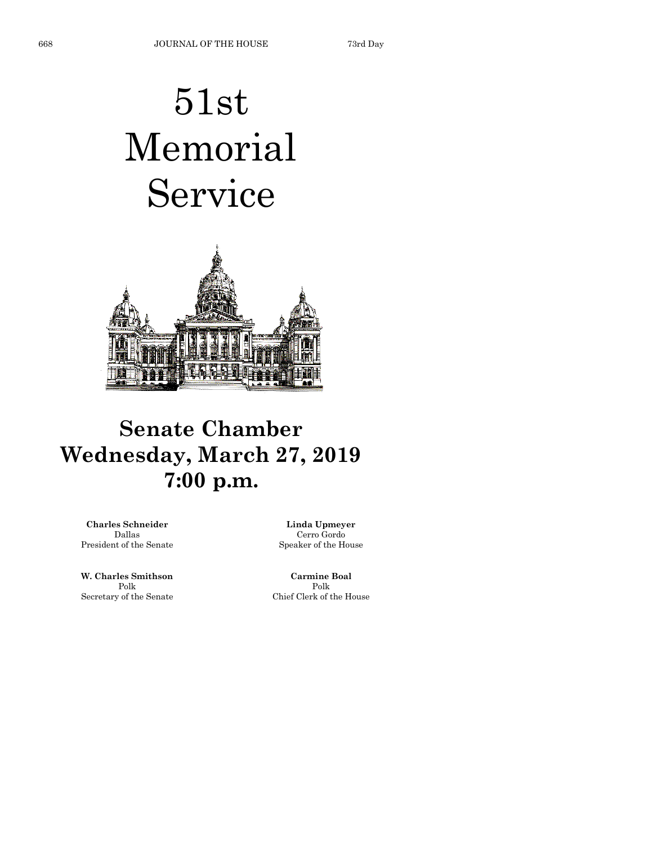# 51st Memorial Service



# **Senate Chamber Wednesday, March 27, 2019 7:00 p.m.**

**Charles Schneider** Dallas President of the Senate

**W. Charles Smithson** Polk Secretary of the Senate

**Linda Upmeyer** Cerro Gordo Speaker of the House

**Carmine Boal** Polk Chief Clerk of the House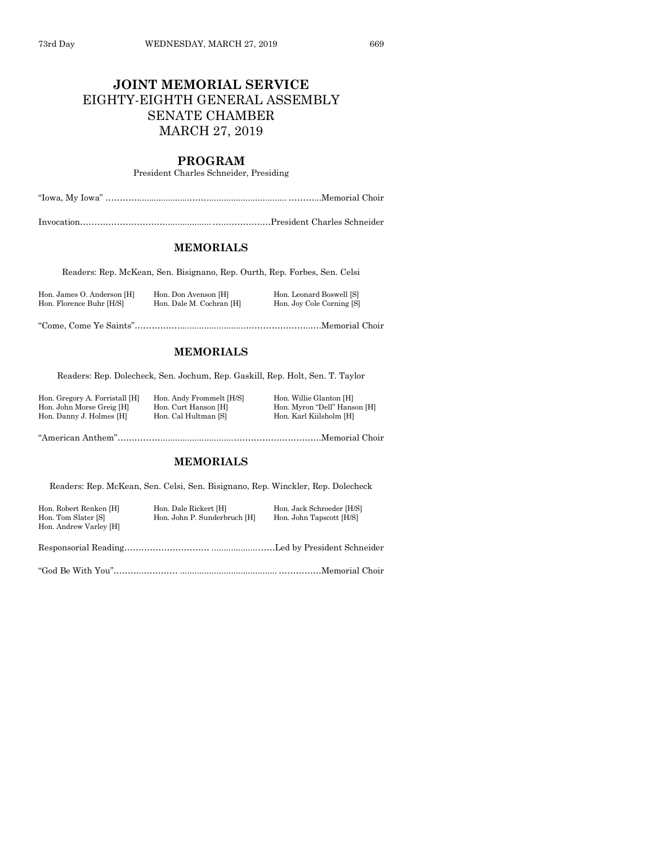# **JOINT MEMORIAL SERVICE** EIGHTY-EIGHTH GENERAL ASSEMBLY SENATE CHAMBER MARCH 27, 2019

# **PROGRAM**

President Charles Schneider, Presiding

"Iowa, My Iowa" ………….....................……................................. ………...Memorial Choir

Invocation…………………………...................…..………….…President Charles Schneider

# **MEMORIALS**

Readers: Rep. McKean, Sen. Bisignano, Rep. Ourth, Rep. Forbes, Sen. Celsi

| Hon. James O. Anderson [H] | Hon. Don Avenson [H]     | Hon. Leonard Boswell [S]  |
|----------------------------|--------------------------|---------------------------|
| Hon. Florence Buhr [H/S]   | Hon. Dale M. Cochran [H] | Hon. Joy Cole Corning [S] |
|                            |                          |                           |

"Come, Come Ye Saints"……………............................…………………..….Memorial Choir

# **MEMORIALS**

Readers: Rep. Dolecheck, Sen. Jochum, Rep. Gaskill, Rep. Holt, Sen. T. Taylor

| Hon. Gregory A. Forristall [H] | Hon. Andy Frommelt [H/S] | Hon. Willie Glanton [H]      |
|--------------------------------|--------------------------|------------------------------|
| Hon. John Morse Greig [H]      | Hon. Curt Hanson [H]     | Hon. Myron "Dell" Hanson [H] |
| Hon. Danny J. Holmes [H]       | Hon. Cal Hultman [S]     | Hon. Karl Kiilsholm [H]      |
|                                |                          |                              |

"American Anthem"……………..............................………………………….Memorial Choir

#### **MEMORIALS**

Readers: Rep. McKean, Sen. Celsi, Sen. Bisignano, Rep. Winckler, Rep. Dolecheck

| Hon. Robert Renken [H]<br>Hon. Tom Slater [S]<br>Hon. Andrew Varley [H] | Hon. Dale Rickert [H]<br>Hon. John P. Sunderbruch [H] | Hon. Jack Schroeder [H/S]<br>Hon. John Tapscott [H/S] |
|-------------------------------------------------------------------------|-------------------------------------------------------|-------------------------------------------------------|
|                                                                         |                                                       |                                                       |

"God Be With You"………..………… ........................................ ……………Memorial Choir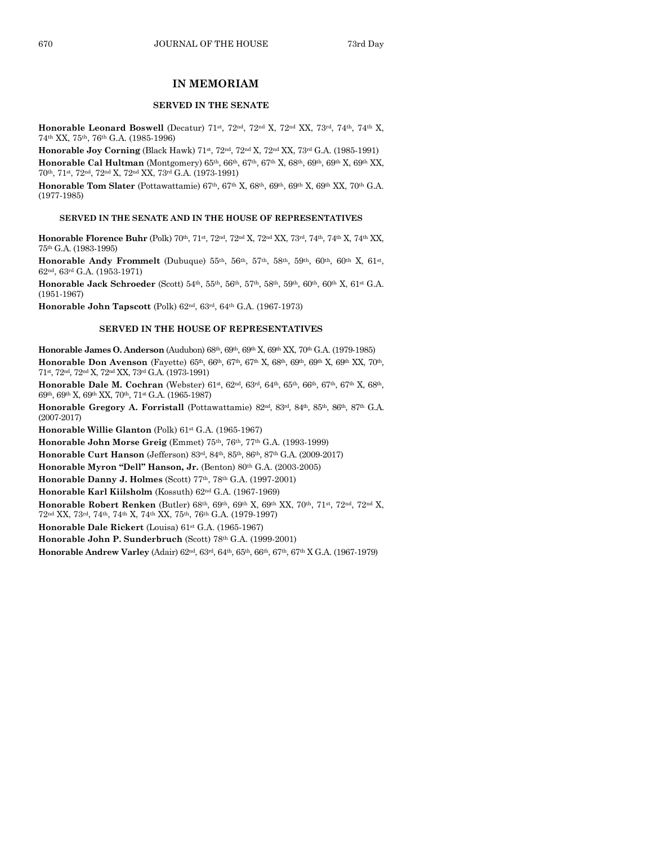# **IN MEMORIAM**

#### **SERVED IN THE SENATE**

**Honorable Leonard Boswell** (Decatur) 71st, 72nd, 72nd X, 72nd XX, 73rd, 74th, 74th X, 74th XX, 75th, 76th G.A. (1985-1996)

**Honorable Joy Corning** (Black Hawk) 71st, 72nd, 72nd X, 72nd XX, 73rd G.A. (1985-1991) Honorable Cal Hultman (Montgomery) 65<sup>th</sup>, 66<sup>th</sup>, 67<sup>th</sup>, 67<sup>th</sup> X, 68<sup>th</sup>, 69<sup>th</sup>, 69<sup>th</sup> X, 69<sup>th</sup> XX, 70th, 71st, 72nd, 72nd X, 72nd XX, 73rd G.A. (1973-1991)

**Honorable Tom Slater** (Pottawattamie)  $67<sup>th</sup>$ ,  $67<sup>th</sup>$  X,  $68<sup>th</sup>$ ,  $69<sup>th</sup>$  X,  $69<sup>th</sup>$  XX,  $70<sup>th</sup>$  G.A. (1977-1985)

#### **SERVED IN THE SENATE AND IN THE HOUSE OF REPRESENTATIVES**

**Honorable Florence Buhr** (Polk) 70<sup>th</sup>, 71<sup>st</sup>, 72<sup>nd</sup>, 72<sup>nd</sup> X, 72<sup>nd</sup> XX, 73<sup>rd</sup>, 74<sup>th</sup>, 74<sup>th</sup> XX, 74<sup>th</sup> XX, 75th G.A. (1983-1995)

**Honorable Andy Frommelt** (Dubuque)  $55^{th}$ ,  $56^{th}$ ,  $57^{th}$ ,  $58^{th}$ ,  $59^{th}$ ,  $60^{th}$ ,  $60^{th}$  X,  $61^{st}$ , 62nd, 63rd G.A. (1953-1971)

**Honorable Jack Schroeder** (Scott)  $54<sup>th</sup>$ ,  $55<sup>th</sup>$ ,  $56<sup>th</sup>$ ,  $57<sup>th</sup>$ ,  $58<sup>th</sup>$ ,  $59<sup>th</sup>$ ,  $60<sup>th</sup>$ ,  $60<sup>th</sup>$ ,  $8<sup>th</sup>$ ,  $61<sup>st</sup>$  G.A. (1951-1967)

**Honorable John Tapscott** (Polk) 62nd, 63rd, 64th G.A. (1967-1973)

#### **SERVED IN THE HOUSE OF REPRESENTATIVES**

**Honorable James O. Anderson** (Audubon) 68th, 69th, 69th X, 69th XX, 70th G.A. (1979-1985) Honorable Don Avenson (Fayette) 65<sup>th</sup>, 66<sup>th</sup>, 67<sup>th</sup>, 67<sup>th</sup> X, 68<sup>th</sup>, 69<sup>th</sup> X, 69<sup>th</sup> X, 69<sup>th</sup> XX, 70<sup>th</sup>, 71st, 72nd, 72nd X, 72nd XX, 73rd G.A. (1973-1991)

**Honorable Dale M. Cochran** (Webster) 61<sup>st</sup>, 62<sup>nd</sup>, 63<sup>rd</sup>, 64<sup>th</sup>, 65<sup>th</sup>, 66<sup>th</sup>, 67<sup>th</sup>, 67<sup>th</sup> X, 68<sup>th</sup>, 69th, 69th X, 69th XX, 70th, 71st G.A. (1965-1987)

**Honorable Gregory A. Forristall** (Pottawattamie) 82nd, 83rd, 84th, 85th, 86th, 87th G.A. (2007-2017)

**Honorable Willie Glanton** (Polk) 61st G.A. (1965-1967)

**Honorable John Morse Greig** (Emmet) 75th, 76th, 77th G.A. (1993-1999)

**Honorable Curt Hanson** (Jefferson) 83rd, 84th, 85th, 86th, 87th G.A. (2009-2017)

**Honorable Myron "Dell" Hanson, Jr.** (Benton) 80th G.A. (2003-2005)

**Honorable Danny J. Holmes** (Scott) 77th, 78th G.A. (1997-2001)

**Honorable Karl Kiilsholm** (Kossuth) 62nd G.A. (1967-1969)

**Honorable Robert Renken** (Butler) 68th, 69th, 69th X, 69th XX, 70th, 71st, 72nd, 72nd X,

72nd XX, 73rd, 74th, 74th X, 74th XX, 75th, 76th G.A. (1979-1997)

**Honorable Dale Rickert** (Louisa) 61st G.A. (1965-1967)

**Honorable John P. Sunderbruch** (Scott) 78th G.A. (1999-2001)

**Honorable Andrew Varley** (Adair) 62nd, 63rd, 64th, 65th, 66th, 67th, 67th X G.A. (1967-1979)